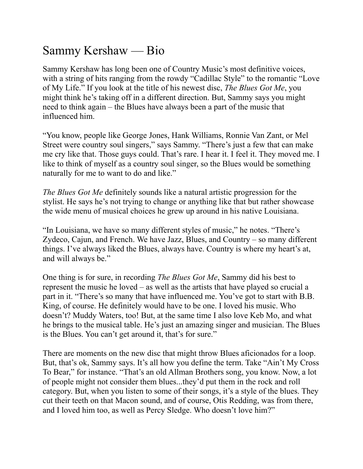## Sammy Kershaw — Bio

Sammy Kershaw has long been one of Country Music's most definitive voices, with a string of hits ranging from the rowdy "Cadillac Style" to the romantic "Love of My Life." If you look at the title of his newest disc, *The Blues Got Me*, you might think he's taking off in a different direction. But, Sammy says you might need to think again – the Blues have always been a part of the music that influenced him.

"You know, people like George Jones, Hank Williams, Ronnie Van Zant, or Mel Street were country soul singers," says Sammy. "There's just a few that can make me cry like that. Those guys could. That's rare. I hear it. I feel it. They moved me. I like to think of myself as a country soul singer, so the Blues would be something naturally for me to want to do and like."

*The Blues Got Me* definitely sounds like a natural artistic progression for the stylist. He says he's not trying to change or anything like that but rather showcase the wide menu of musical choices he grew up around in his native Louisiana.

"In Louisiana, we have so many different styles of music," he notes. "There's Zydeco, Cajun, and French. We have Jazz, Blues, and Country – so many different things. I've always liked the Blues, always have. Country is where my heart's at, and will always be."

One thing is for sure, in recording *The Blues Got Me*, Sammy did his best to represent the music he loved – as well as the artists that have played so crucial a part in it. "There's so many that have influenced me. You've got to start with B.B. King, of course. He definitely would have to be one. I loved his music. Who doesn't? Muddy Waters, too! But, at the same time I also love Keb Mo, and what he brings to the musical table. He's just an amazing singer and musician. The Blues is the Blues. You can't get around it, that's for sure."

There are moments on the new disc that might throw Blues aficionados for a loop. But, that's ok, Sammy says. It's all how you define the term. Take "Ain't My Cross To Bear," for instance. "That's an old Allman Brothers song, you know. Now, a lot of people might not consider them blues...they'd put them in the rock and roll category. But, when you listen to some of their songs, it's a style of the blues. They cut their teeth on that Macon sound, and of course, Otis Redding, was from there, and I loved him too, as well as Percy Sledge. Who doesn't love him?"